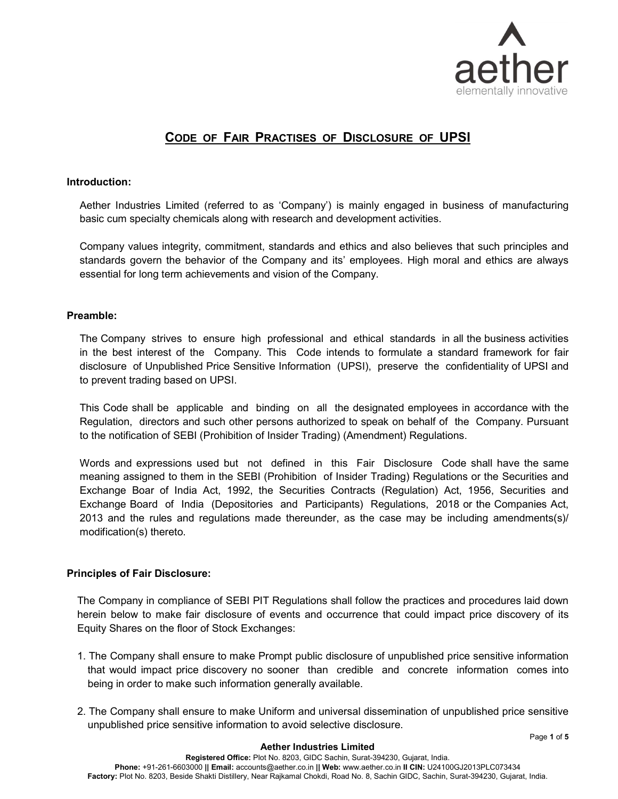

# CODE OF FAIR PRACTISES OF DISCLOSURE OF UPSI

### Introduction:

Aether Industries Limited (referred to as 'Company') is mainly engaged in business of manufacturing basic cum specialty chemicals along with research and development activities.

Company values integrity, commitment, standards and ethics and also believes that such principles and standards govern the behavior of the Company and its' employees. High moral and ethics are always essential for long term achievements and vision of the Company.

### Preamble:

The Company strives to ensure high professional and ethical standards in all the business activities in the best interest of the Company. This Code intends to formulate a standard framework for fair disclosure of Unpublished Price Sensitive Information (UPSI), preserve the confidentiality of UPSI and to prevent trading based on UPSI.

This Code shall be applicable and binding on all the designated employees in accordance with the Regulation, directors and such other persons authorized to speak on behalf of the Company. Pursuant to the notification of SEBI (Prohibition of Insider Trading) (Amendment) Regulations.

Words and expressions used but not defined in this Fair Disclosure Code shall have the same meaning assigned to them in the SEBI (Prohibition of Insider Trading) Regulations or the Securities and Exchange Boar of India Act, 1992, the Securities Contracts (Regulation) Act, 1956, Securities and Exchange Board of India (Depositories and Participants) Regulations, 2018 or the Companies Act, 2013 and the rules and regulations made thereunder, as the case may be including amendments(s)/ modification(s) thereto.

#### Principles of Fair Disclosure:

The Company in compliance of SEBI PIT Regulations shall follow the practices and procedures laid down herein below to make fair disclosure of events and occurrence that could impact price discovery of its Equity Shares on the floor of Stock Exchanges:

- 1. The Company shall ensure to make Prompt public disclosure of unpublished price sensitive information that would impact price discovery no sooner than credible and concrete information comes into being in order to make such information generally available.
- 2. The Company shall ensure to make Uniform and universal dissemination of unpublished price sensitive unpublished price sensitive information to avoid selective disclosure.

Page 1 of 5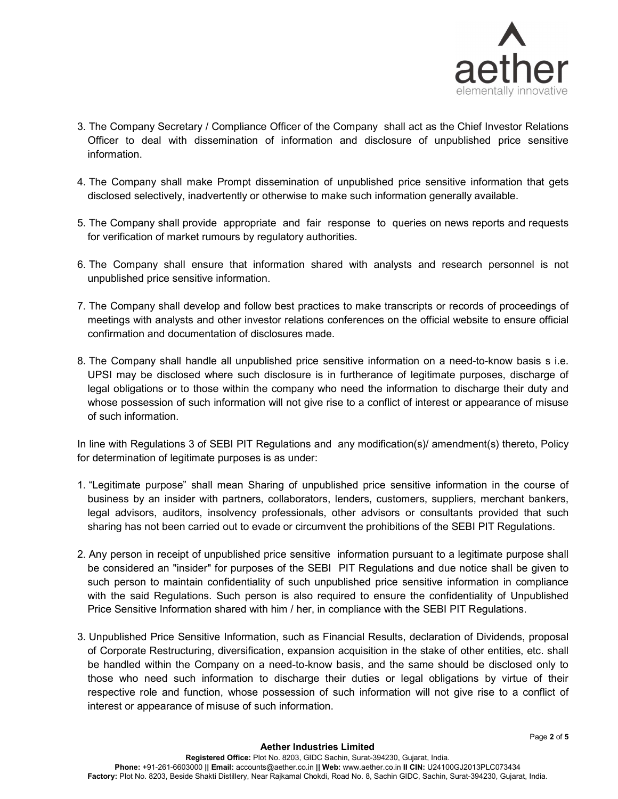

- 3. The Company Secretary / Compliance Officer of the Company shall act as the Chief Investor Relations Officer to deal with dissemination of information and disclosure of unpublished price sensitive information.
- 4. The Company shall make Prompt dissemination of unpublished price sensitive information that gets disclosed selectively, inadvertently or otherwise to make such information generally available.
- 5. The Company shall provide appropriate and fair response to queries on news reports and requests for verification of market rumours by regulatory authorities.
- 6. The Company shall ensure that information shared with analysts and research personnel is not unpublished price sensitive information.
- 7. The Company shall develop and follow best practices to make transcripts or records of proceedings of meetings with analysts and other investor relations conferences on the official website to ensure official confirmation and documentation of disclosures made.
- 8. The Company shall handle all unpublished price sensitive information on a need-to-know basis s i.e. UPSI may be disclosed where such disclosure is in furtherance of legitimate purposes, discharge of legal obligations or to those within the company who need the information to discharge their duty and whose possession of such information will not give rise to a conflict of interest or appearance of misuse of such information.

In line with Regulations 3 of SEBI PIT Regulations and any modification(s)/ amendment(s) thereto, Policy for determination of legitimate purposes is as under:

- 1. "Legitimate purpose" shall mean Sharing of unpublished price sensitive information in the course of business by an insider with partners, collaborators, lenders, customers, suppliers, merchant bankers, legal advisors, auditors, insolvency professionals, other advisors or consultants provided that such sharing has not been carried out to evade or circumvent the prohibitions of the SEBI PIT Regulations.
- 2. Any person in receipt of unpublished price sensitive information pursuant to a legitimate purpose shall be considered an "insider" for purposes of the SEBI PIT Regulations and due notice shall be given to such person to maintain confidentiality of such unpublished price sensitive information in compliance with the said Regulations. Such person is also required to ensure the confidentiality of Unpublished Price Sensitive Information shared with him / her, in compliance with the SEBI PIT Regulations.
- 3. Unpublished Price Sensitive Information, such as Financial Results, declaration of Dividends, proposal of Corporate Restructuring, diversification, expansion acquisition in the stake of other entities, etc. shall be handled within the Company on a need-to-know basis, and the same should be disclosed only to those who need such information to discharge their duties or legal obligations by virtue of their respective role and function, whose possession of such information will not give rise to a conflict of interest or appearance of misuse of such information.

Page 2 of 5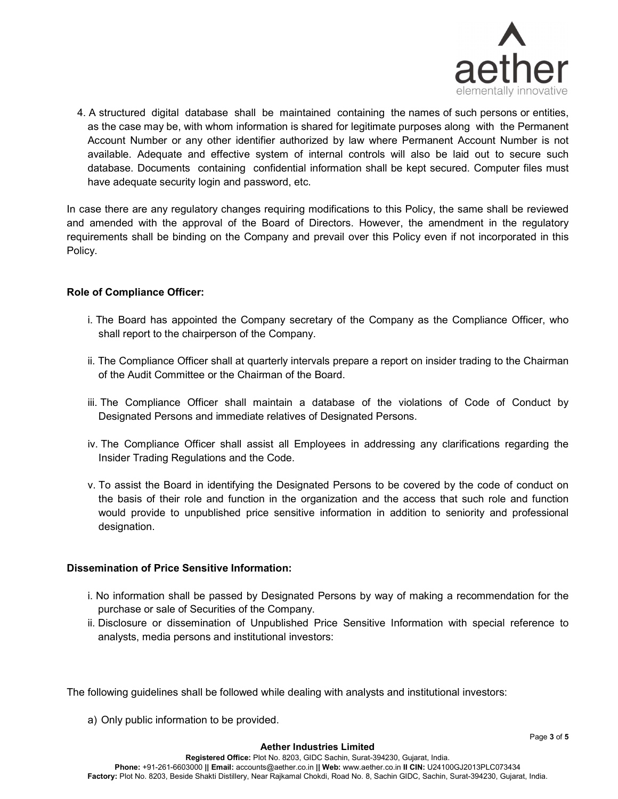

4. A structured digital database shall be maintained containing the names of such persons or entities, as the case may be, with whom information is shared for legitimate purposes along with the Permanent Account Number or any other identifier authorized by law where Permanent Account Number is not available. Adequate and effective system of internal controls will also be laid out to secure such database. Documents containing confidential information shall be kept secured. Computer files must have adequate security login and password, etc.

In case there are any regulatory changes requiring modifications to this Policy, the same shall be reviewed and amended with the approval of the Board of Directors. However, the amendment in the regulatory requirements shall be binding on the Company and prevail over this Policy even if not incorporated in this Policy.

# Role of Compliance Officer:

- i. The Board has appointed the Company secretary of the Company as the Compliance Officer, who shall report to the chairperson of the Company.
- ii. The Compliance Officer shall at quarterly intervals prepare a report on insider trading to the Chairman of the Audit Committee or the Chairman of the Board.
- iii. The Compliance Officer shall maintain a database of the violations of Code of Conduct by Designated Persons and immediate relatives of Designated Persons.
- iv. The Compliance Officer shall assist all Employees in addressing any clarifications regarding the Insider Trading Regulations and the Code.
- v. To assist the Board in identifying the Designated Persons to be covered by the code of conduct on the basis of their role and function in the organization and the access that such role and function would provide to unpublished price sensitive information in addition to seniority and professional designation.

# Dissemination of Price Sensitive Information:

- i. No information shall be passed by Designated Persons by way of making a recommendation for the purchase or sale of Securities of the Company.
- ii. Disclosure or dissemination of Unpublished Price Sensitive Information with special reference to analysts, media persons and institutional investors:

The following guidelines shall be followed while dealing with analysts and institutional investors:

a) Only public information to be provided.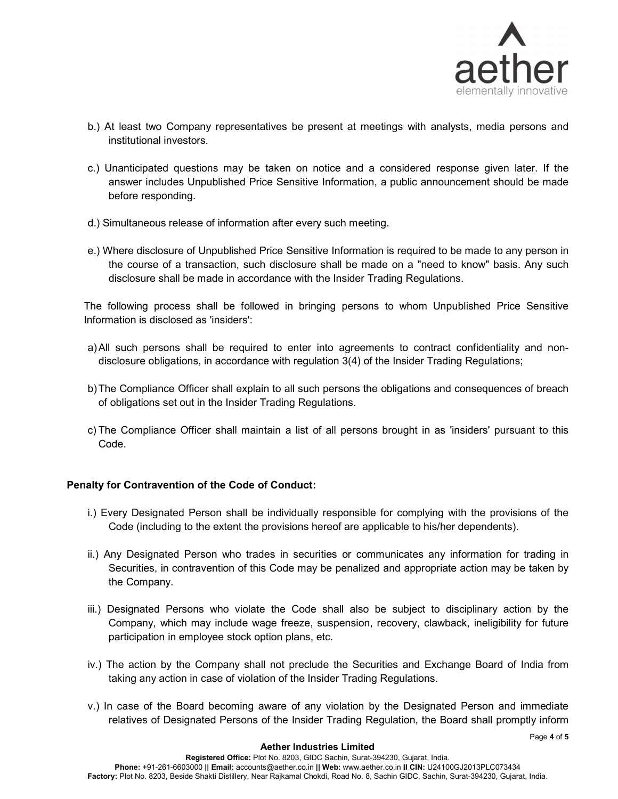

- b.) At least two Company representatives be present at meetings with analysts, media persons and institutional investors.
- c.) Unanticipated questions may be taken on notice and a considered response given later. If the answer includes Unpublished Price Sensitive Information, a public announcement should be made before responding.
- d.) Simultaneous release of information after every such meeting.
- e.) Where disclosure of Unpublished Price Sensitive Information is required to be made to any person in the course of a transaction, such disclosure shall be made on a "need to know" basis. Any such disclosure shall be made in accordance with the Insider Trading Regulations.

The following process shall be followed in bringing persons to whom Unpublished Price Sensitive Information is disclosed as 'insiders':

- a) All such persons shall be required to enter into agreements to contract confidentiality and nondisclosure obligations, in accordance with regulation 3(4) of the Insider Trading Regulations;
- b) The Compliance Officer shall explain to all such persons the obligations and consequences of breach of obligations set out in the Insider Trading Regulations.
- c) The Compliance Officer shall maintain a list of all persons brought in as 'insiders' pursuant to this Code.

# Penalty for Contravention of the Code of Conduct:

- i.) Every Designated Person shall be individually responsible for complying with the provisions of the Code (including to the extent the provisions hereof are applicable to his/her dependents).
- ii.) Any Designated Person who trades in securities or communicates any information for trading in Securities, in contravention of this Code may be penalized and appropriate action may be taken by the Company.
- iii.) Designated Persons who violate the Code shall also be subject to disciplinary action by the Company, which may include wage freeze, suspension, recovery, clawback, ineligibility for future participation in employee stock option plans, etc.
- iv.) The action by the Company shall not preclude the Securities and Exchange Board of India from taking any action in case of violation of the Insider Trading Regulations.
- v.) In case of the Board becoming aware of any violation by the Designated Person and immediate relatives of Designated Persons of the Insider Trading Regulation, the Board shall promptly inform